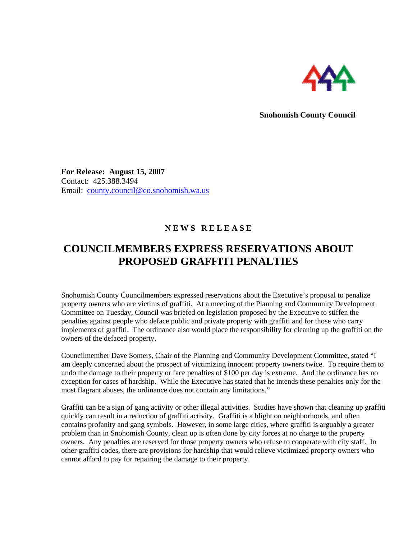

**Snohomish County Council** 

**For Release: August 15, 2007**  Contact: 425.388.3494 Email: [county.council@co.snohomish.wa.us](mailto:county.council@co.snohomish.wa.us)

## **N E W S R E L E A S E**

## **COUNCILMEMBERS EXPRESS RESERVATIONS ABOUT PROPOSED GRAFFITI PENALTIES**

Snohomish County Councilmembers expressed reservations about the Executive's proposal to penalize property owners who are victims of graffiti. At a meeting of the Planning and Community Development Committee on Tuesday, Council was briefed on legislation proposed by the Executive to stiffen the penalties against people who deface public and private property with graffiti and for those who carry implements of graffiti. The ordinance also would place the responsibility for cleaning up the graffiti on the owners of the defaced property.

Councilmember Dave Somers, Chair of the Planning and Community Development Committee, stated "I am deeply concerned about the prospect of victimizing innocent property owners twice. To require them to undo the damage to their property or face penalties of \$100 per day is extreme. And the ordinance has no exception for cases of hardship. While the Executive has stated that he intends these penalties only for the most flagrant abuses, the ordinance does not contain any limitations."

Graffiti can be a sign of gang activity or other illegal activities. Studies have shown that cleaning up graffiti quickly can result in a reduction of graffiti activity. Graffiti is a blight on neighborhoods, and often contains profanity and gang symbols. However, in some large cities, where graffiti is arguably a greater problem than in Snohomish County, clean up is often done by city forces at no charge to the property owners. Any penalties are reserved for those property owners who refuse to cooperate with city staff. In other graffiti codes, there are provisions for hardship that would relieve victimized property owners who cannot afford to pay for repairing the damage to their property.